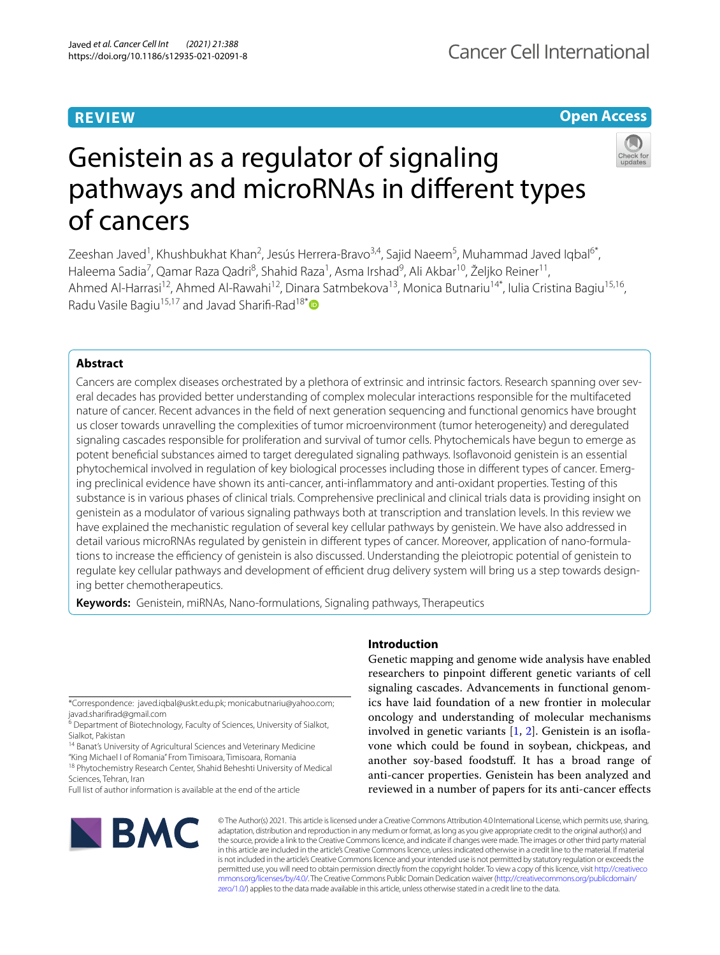# **REVIEW**

# **Open Access**



# Genistein as a regulator of signaling pathways and microRNAs in diferent types of cancers

Zeeshan Javed<sup>1</sup>, Khushbukhat Khan<sup>2</sup>, Jesús Herrera-Bravo<sup>3,4</sup>, Sajid Naeem<sup>5</sup>, Muhammad Javed Iqbal<sup>6\*</sup>, Haleema Sadia<sup>7</sup>, Qamar Raza Qadri<sup>8</sup>, Shahid Raza<sup>1</sup>, Asma Irshad<sup>9</sup>, Ali Akbar<sup>10</sup>, Željko Reiner<sup>11</sup>, Ahmed Al-Harrasi<sup>12</sup>, Ahmed Al-Rawahi<sup>12</sup>, Dinara Satmbekova<sup>13</sup>, Monica Butnariu<sup>14\*</sup>, Iulia Cristina Bagiu<sup>15,16</sup>, Radu Vasile Bagiu<sup>15,17</sup> and Javad Sharifi-Rad<sup>18[\\*](http://orcid.org/0000-0002-7301-8151)</sup>

# **Abstract**

Cancers are complex diseases orchestrated by a plethora of extrinsic and intrinsic factors. Research spanning over several decades has provided better understanding of complex molecular interactions responsible for the multifaceted nature of cancer. Recent advances in the feld of next generation sequencing and functional genomics have brought us closer towards unravelling the complexities of tumor microenvironment (tumor heterogeneity) and deregulated signaling cascades responsible for proliferation and survival of tumor cells. Phytochemicals have begun to emerge as potent benefcial substances aimed to target deregulated signaling pathways. Isofavonoid genistein is an essential phytochemical involved in regulation of key biological processes including those in diferent types of cancer. Emerg‑ ing preclinical evidence have shown its anti-cancer, anti-infammatory and anti-oxidant properties. Testing of this substance is in various phases of clinical trials. Comprehensive preclinical and clinical trials data is providing insight on genistein as a modulator of various signaling pathways both at transcription and translation levels. In this review we have explained the mechanistic regulation of several key cellular pathways by genistein. We have also addressed in detail various microRNAs regulated by genistein in different types of cancer. Moreover, application of nano-formulations to increase the efficiency of genistein is also discussed. Understanding the pleiotropic potential of genistein to regulate key cellular pathways and development of efficient drug delivery system will bring us a step towards designing better chemotherapeutics.

**Keywords:** Genistein, miRNAs, Nano-formulations, Signaling pathways, Therapeutics

\*Correspondence: javed.iqbal@uskt.edu.pk; monicabutnariu@yahoo.com; javad.sharifrad@gmail.com

<sup>14</sup> Banat's University of Agricultural Sciences and Veterinary Medicine "King Michael I of Romania" From Timisoara, Timisoara, Romania

<sup>18</sup> Phytochemistry Research Center, Shahid Beheshti University of Medical Sciences, Tehran, Iran

Full list of author information is available at the end of the article

# **Introduction**

Genetic mapping and genome wide analysis have enabled researchers to pinpoint diferent genetic variants of cell signaling cascades. Advancements in functional genomics have laid foundation of a new frontier in molecular oncology and understanding of molecular mechanisms involved in genetic variants  $[1, 2]$  $[1, 2]$  $[1, 2]$  $[1, 2]$ . Genistein is an isoflavone which could be found in soybean, chickpeas, and another soy-based foodstuf. It has a broad range of anti-cancer properties. Genistein has been analyzed and reviewed in a number of papers for its anti-cancer efects



© The Author(s) 2021. This article is licensed under a Creative Commons Attribution 4.0 International License, which permits use, sharing, adaptation, distribution and reproduction in any medium or format, as long as you give appropriate credit to the original author(s) and the source, provide a link to the Creative Commons licence, and indicate if changes were made. The images or other third party material in this article are included in the article's Creative Commons licence, unless indicated otherwise in a credit line to the material. If material is not included in the article's Creative Commons licence and your intended use is not permitted by statutory regulation or exceeds the permitted use, you will need to obtain permission directly from the copyright holder. To view a copy of this licence, visit [http://creativeco](http://creativecommons.org/licenses/by/4.0/) [mmons.org/licenses/by/4.0/.](http://creativecommons.org/licenses/by/4.0/) The Creative Commons Public Domain Dedication waiver ([http://creativecommons.org/publicdomain/](http://creativecommons.org/publicdomain/zero/1.0/) [zero/1.0/\)](http://creativecommons.org/publicdomain/zero/1.0/) applies to the data made available in this article, unless otherwise stated in a credit line to the data.

<sup>&</sup>lt;sup>6</sup> Department of Biotechnology, Faculty of Sciences, University of Sialkot, Sialkot, Pakistan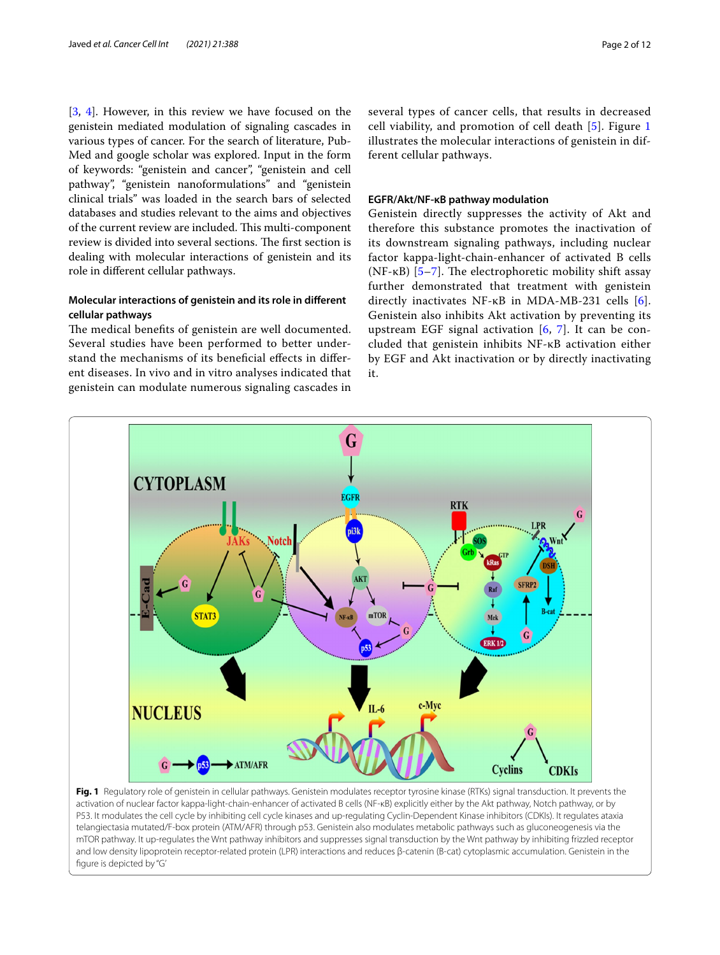[[3,](#page-9-2) [4\]](#page-9-3). However, in this review we have focused on the genistein mediated modulation of signaling cascades in various types of cancer. For the search of literature, Pub-Med and google scholar was explored. Input in the form of keywords: "genistein and cancer", "genistein and cell pathway", "genistein nanoformulations" and "genistein clinical trials" was loaded in the search bars of selected databases and studies relevant to the aims and objectives of the current review are included. This multi-component review is divided into several sections. The first section is dealing with molecular interactions of genistein and its role in diferent cellular pathways.

# **Molecular interactions of genistein and its role in diferent cellular pathways**

The medical benefits of genistein are well documented. Several studies have been performed to better understand the mechanisms of its benefcial efects in diferent diseases. In vivo and in vitro analyses indicated that genistein can modulate numerous signaling cascades in several types of cancer cells, that results in decreased cell viability, and promotion of cell death [\[5](#page-9-4)]. Figure [1](#page-1-0) illustrates the molecular interactions of genistein in different cellular pathways.

#### **EGFR/Akt/NF‑κB pathway modulation**

Genistein directly suppresses the activity of Akt and therefore this substance promotes the inactivation of its downstream signaling pathways, including nuclear factor kappa-light-chain-enhancer of activated B cells ( $NF-KB$ ) [[5–](#page-9-4)[7\]](#page-9-5). The electrophoretic mobility shift assay further demonstrated that treatment with genistein directly inactivates NF-κB in MDA-MB-231 cells [[6](#page-9-6)]. Genistein also inhibits Akt activation by preventing its upstream EGF signal activation  $[6, 7]$  $[6, 7]$  $[6, 7]$ . It can be concluded that genistein inhibits NF-κB activation either by EGF and Akt inactivation or by directly inactivating it.



<span id="page-1-0"></span>**Fig. 1** Regulatory role of genistein in cellular pathways. Genistein modulates receptor tyrosine kinase (RTKs) signal transduction. It prevents the activation of nuclear factor kappa-light-chain-enhancer of activated B cells (NF-κB) explicitly either by the Akt pathway, Notch pathway, or by P53. It modulates the cell cycle by inhibiting cell cycle kinases and up-regulating Cyclin-Dependent Kinase inhibitors (CDKIs). It regulates ataxia telangiectasia mutated/F-box protein (ATM/AFR) through p53. Genistein also modulates metabolic pathways such as gluconeogenesis via the mTOR pathway. It up-regulates the Wnt pathway inhibitors and suppresses signal transduction by the Wnt pathway by inhibiting frizzled receptor and low density lipoprotein receptor-related protein (LPR) interactions and reduces β-catenin (B-cat) cytoplasmic accumulation. Genistein in the fgure is depicted by "G'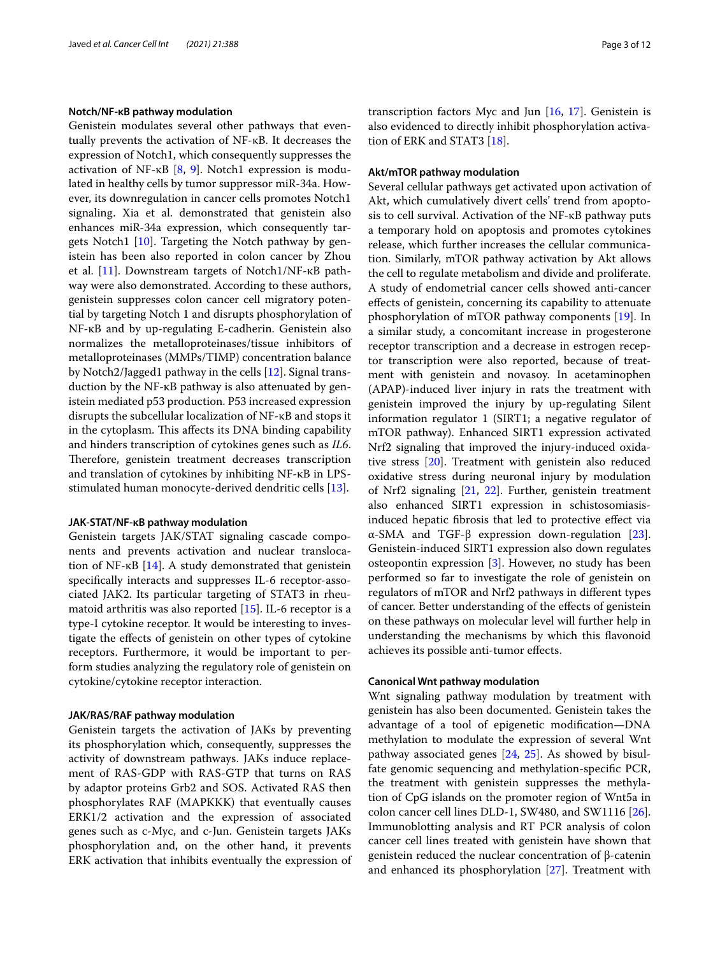#### **Notch/NF‑κB pathway modulation**

Genistein modulates several other pathways that eventually prevents the activation of NF-κB. It decreases the expression of Notch1, which consequently suppresses the activation of NF-κB [[8](#page-9-7), [9](#page-9-8)]. Notch1 expression is modulated in healthy cells by tumor suppressor miR-34a. However, its downregulation in cancer cells promotes Notch1 signaling. Xia et al. demonstrated that genistein also enhances miR-34a expression, which consequently targets Notch1 [\[10\]](#page-9-9). Targeting the Notch pathway by genistein has been also reported in colon cancer by Zhou et al. [\[11](#page-9-10)]. Downstream targets of Notch1/NF-κB pathway were also demonstrated. According to these authors, genistein suppresses colon cancer cell migratory potential by targeting Notch 1 and disrupts phosphorylation of NF-κB and by up-regulating E-cadherin. Genistein also normalizes the metalloproteinases/tissue inhibitors of metalloproteinases (MMPs/TIMP) concentration balance by Notch2/Jagged1 pathway in the cells [\[12](#page-9-11)]. Signal transduction by the NF-κB pathway is also attenuated by genistein mediated p53 production. P53 increased expression disrupts the subcellular localization of NF-κB and stops it in the cytoplasm. This affects its DNA binding capability and hinders transcription of cytokines genes such as *IL6*. Therefore, genistein treatment decreases transcription and translation of cytokines by inhibiting NF-κB in LPSstimulated human monocyte-derived dendritic cells [[13](#page-9-12)].

#### **JAK‑STAT/NF‑κB pathway modulation**

Genistein targets JAK/STAT signaling cascade components and prevents activation and nuclear translocation of NF-κB [[14\]](#page-9-13). A study demonstrated that genistein specifcally interacts and suppresses IL-6 receptor-associated JAK2. Its particular targeting of STAT3 in rheumatoid arthritis was also reported  $[15]$ . IL-6 receptor is a type-I cytokine receptor. It would be interesting to investigate the efects of genistein on other types of cytokine receptors. Furthermore, it would be important to perform studies analyzing the regulatory role of genistein on cytokine/cytokine receptor interaction.

## **JAK/RAS/RAF pathway modulation**

Genistein targets the activation of JAKs by preventing its phosphorylation which, consequently, suppresses the activity of downstream pathways. JAKs induce replacement of RAS-GDP with RAS-GTP that turns on RAS by adaptor proteins Grb2 and SOS. Activated RAS then phosphorylates RAF (MAPKKK) that eventually causes ERK1/2 activation and the expression of associated genes such as c-Myc, and c-Jun. Genistein targets JAKs phosphorylation and, on the other hand, it prevents ERK activation that inhibits eventually the expression of transcription factors Myc and Jun [\[16](#page-9-15), [17\]](#page-9-16). Genistein is also evidenced to directly inhibit phosphorylation activation of ERK and STAT3 [\[18](#page-9-17)].

#### **Akt/mTOR pathway modulation**

Several cellular pathways get activated upon activation of Akt, which cumulatively divert cells' trend from apoptosis to cell survival. Activation of the NF-κB pathway puts a temporary hold on apoptosis and promotes cytokines release, which further increases the cellular communication. Similarly, mTOR pathway activation by Akt allows the cell to regulate metabolism and divide and proliferate. A study of endometrial cancer cells showed anti-cancer efects of genistein, concerning its capability to attenuate phosphorylation of mTOR pathway components [\[19](#page-9-18)]. In a similar study, a concomitant increase in progesterone receptor transcription and a decrease in estrogen receptor transcription were also reported, because of treatment with genistein and novasoy. In acetaminophen (APAP)-induced liver injury in rats the treatment with genistein improved the injury by up-regulating Silent information regulator 1 (SIRT1; a negative regulator of mTOR pathway). Enhanced SIRT1 expression activated Nrf2 signaling that improved the injury-induced oxidative stress [\[20](#page-9-19)]. Treatment with genistein also reduced oxidative stress during neuronal injury by modulation of Nrf2 signaling [[21](#page-9-20), [22\]](#page-9-21). Further, genistein treatment also enhanced SIRT1 expression in schistosomiasisinduced hepatic fbrosis that led to protective efect via α-SMA and TGF-β expression down-regulation [\[23](#page-9-22)]. Genistein-induced SIRT1 expression also down regulates osteopontin expression [\[3](#page-9-2)]. However, no study has been performed so far to investigate the role of genistein on regulators of mTOR and Nrf2 pathways in diferent types of cancer. Better understanding of the efects of genistein on these pathways on molecular level will further help in understanding the mechanisms by which this favonoid achieves its possible anti-tumor efects.

#### **Canonical Wnt pathway modulation**

Wnt signaling pathway modulation by treatment with genistein has also been documented. Genistein takes the advantage of a tool of epigenetic modifcation—DNA methylation to modulate the expression of several Wnt pathway associated genes [\[24,](#page-9-23) [25\]](#page-9-24). As showed by bisulfate genomic sequencing and methylation-specifc PCR, the treatment with genistein suppresses the methylation of CpG islands on the promoter region of Wnt5a in colon cancer cell lines DLD-1, SW480, and SW1116 [\[26](#page-9-25)]. Immunoblotting analysis and RT PCR analysis of colon cancer cell lines treated with genistein have shown that genistein reduced the nuclear concentration of β-catenin and enhanced its phosphorylation [[27](#page-9-26)]. Treatment with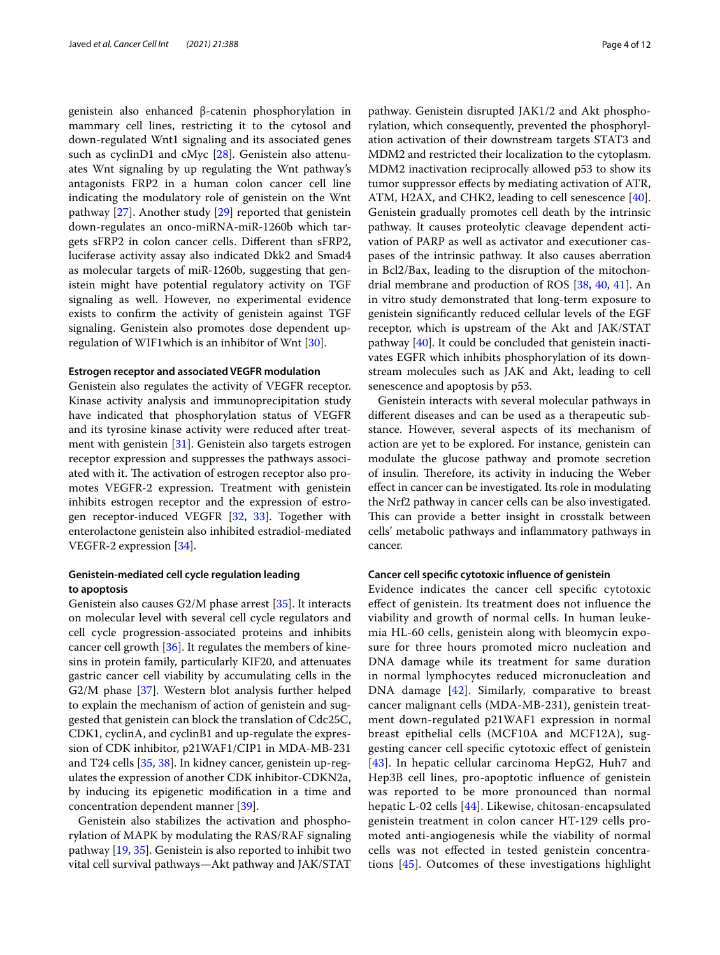genistein also enhanced β-catenin phosphorylation in mammary cell lines, restricting it to the cytosol and down-regulated Wnt1 signaling and its associated genes such as cyclinD1 and cMyc [\[28](#page-9-27)]. Genistein also attenuates Wnt signaling by up regulating the Wnt pathway's antagonists FRP2 in a human colon cancer cell line indicating the modulatory role of genistein on the Wnt pathway [[27\]](#page-9-26). Another study [\[29](#page-9-28)] reported that genistein down-regulates an onco-miRNA-miR-1260b which targets sFRP2 in colon cancer cells. Diferent than sFRP2, luciferase activity assay also indicated Dkk2 and Smad4 as molecular targets of miR-1260b, suggesting that genistein might have potential regulatory activity on TGF signaling as well. However, no experimental evidence exists to confrm the activity of genistein against TGF signaling. Genistein also promotes dose dependent upregulation of WIF1which is an inhibitor of Wnt [\[30\]](#page-9-29).

#### **Estrogen receptor and associated VEGFR modulation**

Genistein also regulates the activity of VEGFR receptor. Kinase activity analysis and immunoprecipitation study have indicated that phosphorylation status of VEGFR and its tyrosine kinase activity were reduced after treatment with genistein [\[31\]](#page-9-30). Genistein also targets estrogen receptor expression and suppresses the pathways associated with it. The activation of estrogen receptor also promotes VEGFR-2 expression. Treatment with genistein inhibits estrogen receptor and the expression of estrogen receptor-induced VEGFR [\[32](#page-9-31), [33](#page-9-32)]. Together with enterolactone genistein also inhibited estradiol-mediated VEGFR-2 expression [\[34](#page-9-33)].

## **Genistein‑mediated cell cycle regulation leading to apoptosis**

Genistein also causes G2/M phase arrest [[35](#page-9-34)]. It interacts on molecular level with several cell cycle regulators and cell cycle progression-associated proteins and inhibits cancer cell growth [\[36](#page-10-0)]. It regulates the members of kinesins in protein family, particularly KIF20, and attenuates gastric cancer cell viability by accumulating cells in the G2/M phase [\[37](#page-10-1)]. Western blot analysis further helped to explain the mechanism of action of genistein and suggested that genistein can block the translation of Cdc25C, CDK1, cyclinA, and cyclinB1 and up-regulate the expression of CDK inhibitor, p21WAF1/CIP1 in MDA-MB-231 and T24 cells [\[35](#page-9-34), [38\]](#page-10-2). In kidney cancer, genistein up-regulates the expression of another CDK inhibitor-CDKN2a, by inducing its epigenetic modifcation in a time and concentration dependent manner [\[39\]](#page-10-3).

Genistein also stabilizes the activation and phosphorylation of MAPK by modulating the RAS/RAF signaling pathway [\[19](#page-9-18), [35](#page-9-34)]. Genistein is also reported to inhibit two vital cell survival pathways—Akt pathway and JAK/STAT pathway. Genistein disrupted JAK1/2 and Akt phosphorylation, which consequently, prevented the phosphorylation activation of their downstream targets STAT3 and MDM2 and restricted their localization to the cytoplasm. MDM2 inactivation reciprocally allowed p53 to show its tumor suppressor efects by mediating activation of ATR, ATM, H2AX, and CHK2, leading to cell senescence [\[40](#page-10-4)]. Genistein gradually promotes cell death by the intrinsic pathway. It causes proteolytic cleavage dependent activation of PARP as well as activator and executioner caspases of the intrinsic pathway. It also causes aberration in Bcl2/Bax, leading to the disruption of the mitochondrial membrane and production of ROS [\[38](#page-10-2), [40](#page-10-4), [41\]](#page-10-5). An in vitro study demonstrated that long-term exposure to genistein signifcantly reduced cellular levels of the EGF receptor, which is upstream of the Akt and JAK/STAT pathway [[40](#page-10-4)]. It could be concluded that genistein inactivates EGFR which inhibits phosphorylation of its downstream molecules such as JAK and Akt, leading to cell senescence and apoptosis by p53.

Genistein interacts with several molecular pathways in diferent diseases and can be used as a therapeutic substance. However, several aspects of its mechanism of action are yet to be explored. For instance, genistein can modulate the glucose pathway and promote secretion of insulin. Therefore, its activity in inducing the Weber efect in cancer can be investigated. Its role in modulating the Nrf2 pathway in cancer cells can be also investigated. This can provide a better insight in crosstalk between cells' metabolic pathways and infammatory pathways in cancer.

#### **Cancer cell specifc cytotoxic infuence of genistein**

Evidence indicates the cancer cell specifc cytotoxic efect of genistein. Its treatment does not infuence the viability and growth of normal cells. In human leukemia HL-60 cells, genistein along with bleomycin exposure for three hours promoted micro nucleation and DNA damage while its treatment for same duration in normal lymphocytes reduced micronucleation and DNA damage [[42](#page-10-6)]. Similarly, comparative to breast cancer malignant cells (MDA-MB-231), genistein treatment down-regulated p21WAF1 expression in normal breast epithelial cells (MCF10A and MCF12A), suggesting cancer cell specifc cytotoxic efect of genistein [[43](#page-10-7)]. In hepatic cellular carcinoma HepG2, Huh7 and Hep3B cell lines, pro-apoptotic infuence of genistein was reported to be more pronounced than normal hepatic L-02 cells [\[44](#page-10-8)]. Likewise, chitosan-encapsulated genistein treatment in colon cancer HT-129 cells promoted anti-angiogenesis while the viability of normal cells was not efected in tested genistein concentrations [[45](#page-10-9)]. Outcomes of these investigations highlight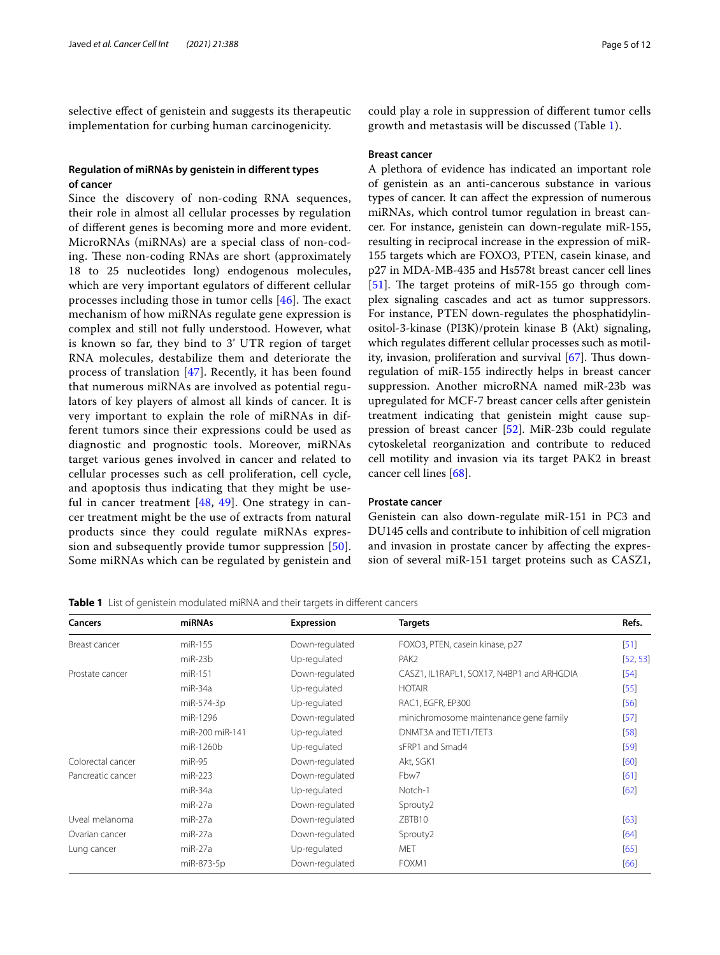selective efect of genistein and suggests its therapeutic implementation for curbing human carcinogenicity.

# **Regulation of miRNAs by genistein in diferent types of cancer**

Since the discovery of non-coding RNA sequences, their role in almost all cellular processes by regulation of diferent genes is becoming more and more evident. MicroRNAs (miRNAs) are a special class of non-coding. These non-coding RNAs are short (approximately 18 to 25 nucleotides long) endogenous molecules, which are very important egulators of diferent cellular processes including those in tumor cells  $[46]$  $[46]$ . The exact mechanism of how miRNAs regulate gene expression is complex and still not fully understood. However, what is known so far, they bind to 3' UTR region of target RNA molecules, destabilize them and deteriorate the process of translation [\[47](#page-10-11)]. Recently, it has been found that numerous miRNAs are involved as potential regulators of key players of almost all kinds of cancer. It is very important to explain the role of miRNAs in different tumors since their expressions could be used as diagnostic and prognostic tools. Moreover, miRNAs target various genes involved in cancer and related to cellular processes such as cell proliferation, cell cycle, and apoptosis thus indicating that they might be useful in cancer treatment  $[48, 49]$  $[48, 49]$  $[48, 49]$  $[48, 49]$  $[48, 49]$ . One strategy in cancer treatment might be the use of extracts from natural products since they could regulate miRNAs expression and subsequently provide tumor suppression [[50\]](#page-10-14). Some miRNAs which can be regulated by genistein and

could play a role in suppression of diferent tumor cells growth and metastasis will be discussed (Table [1\)](#page-4-0).

#### **Breast cancer**

A plethora of evidence has indicated an important role of genistein as an anti-cancerous substance in various types of cancer. It can afect the expression of numerous miRNAs, which control tumor regulation in breast cancer. For instance, genistein can down-regulate miR-155, resulting in reciprocal increase in the expression of miR-155 targets which are FOXO3, PTEN, casein kinase, and p27 in MDA-MB-435 and Hs578t breast cancer cell lines [[51\]](#page-10-15). The target proteins of miR-155 go through complex signaling cascades and act as tumor suppressors. For instance, PTEN down-regulates the phosphatidylinositol-3-kinase (PI3K)/protein kinase B (Akt) signaling, which regulates diferent cellular processes such as motility, invasion, proliferation and survival  $[67]$  $[67]$  $[67]$ . Thus downregulation of miR-155 indirectly helps in breast cancer suppression. Another microRNA named miR-23b was upregulated for MCF-7 breast cancer cells after genistein treatment indicating that genistein might cause suppression of breast cancer [\[52\]](#page-10-17). MiR-23b could regulate cytoskeletal reorganization and contribute to reduced cell motility and invasion via its target PAK2 in breast cancer cell lines [[68](#page-10-18)].

#### **Prostate cancer**

Genistein can also down-regulate miR-151 in PC3 and DU145 cells and contribute to inhibition of cell migration and invasion in prostate cancer by afecting the expression of several miR-151 target proteins such as CASZ1,

<span id="page-4-0"></span>

|  | <b>Table 1</b> List of genistein modulated miRNA and their targets in different cancers |  |
|--|-----------------------------------------------------------------------------------------|--|
|  |                                                                                         |  |

| Cancers           | miRNAs          | Expression     | <b>Targets</b>                            | Refs.    |
|-------------------|-----------------|----------------|-------------------------------------------|----------|
| Breast cancer     | miR-155         | Down-regulated | FOXO3, PTEN, casein kinase, p27           | $[51]$   |
|                   | $miR-23b$       | Up-regulated   | PAK <sub>2</sub>                          | [52, 53] |
| Prostate cancer   | miR-151         | Down-regulated | CASZ1, IL1RAPL1, SOX17, N4BP1 and ARHGDIA | $[54]$   |
|                   | $miR-34a$       | Up-regulated   | <b>HOTAIR</b>                             | $[55]$   |
|                   | miR-574-3p      | Up-regulated   | RAC1, EGFR, EP300                         | $[56]$   |
|                   | miR-1296        | Down-regulated | minichromosome maintenance gene family    | $[57]$   |
|                   | miR-200 miR-141 | Up-regulated   | DNMT3A and TET1/TET3                      | [58]     |
|                   | miR-1260b       | Up-regulated   | sFRP1 and Smad4                           | $[59]$   |
| Colorectal cancer | $miR-95$        | Down-regulated | Akt, SGK1                                 | [60]     |
| Pancreatic cancer | $miR-223$       | Down-regulated | Fbw7                                      | [61]     |
|                   | $miR-34a$       | Up-regulated   | Notch-1                                   | [62]     |
|                   | miR-27a         | Down-regulated | Sprouty2                                  |          |
| Uveal melanoma    | miR-27a         | Down-regulated | ZBTB10                                    | [63]     |
| Ovarian cancer    | miR-27a         | Down-regulated | Sprouty2                                  | [64]     |
| Lung cancer       | miR-27a         | Up-regulated   | <b>MET</b>                                | [65]     |
|                   | miR-873-5p      | Down-regulated | FOXM1                                     | [66]     |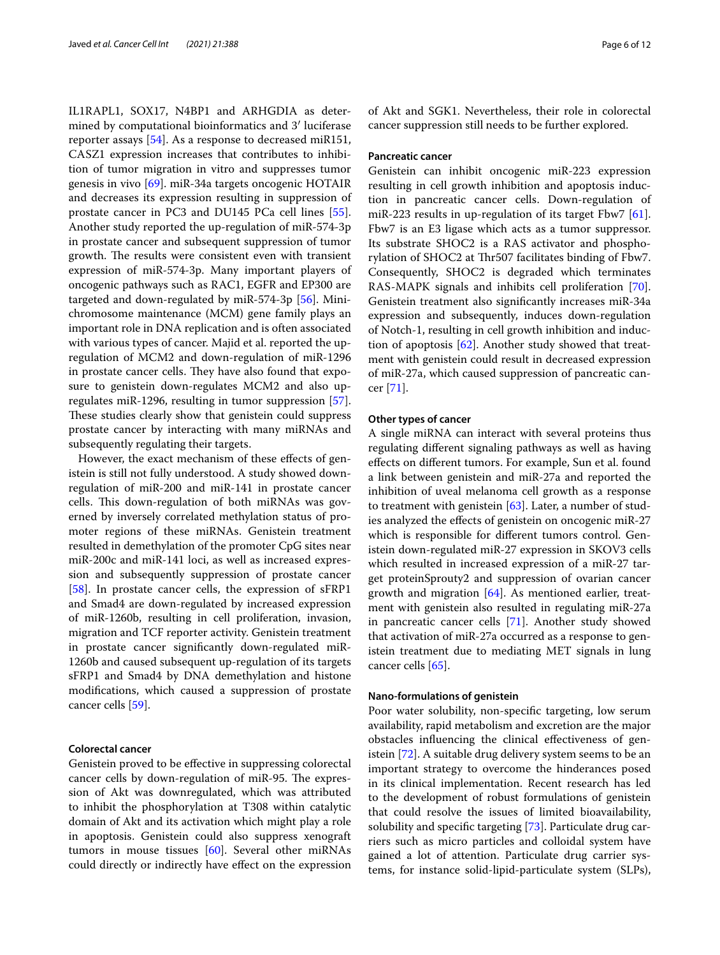IL1RAPL1, SOX17, N4BP1 and ARHGDIA as determined by computational bioinformatics and 3′ luciferase reporter assays [\[54](#page-10-20)]. As a response to decreased miR151, CASZ1 expression increases that contributes to inhibition of tumor migration in vitro and suppresses tumor genesis in vivo [[69](#page-10-33)]. miR-34a targets oncogenic HOTAIR and decreases its expression resulting in suppression of prostate cancer in PC3 and DU145 PCa cell lines [\[55](#page-10-21)]. Another study reported the up-regulation of miR-574-3p in prostate cancer and subsequent suppression of tumor growth. The results were consistent even with transient expression of miR-574-3p. Many important players of oncogenic pathways such as RAC1, EGFR and EP300 are targeted and down-regulated by miR-574-3p [[56](#page-10-22)]. Minichromosome maintenance (MCM) gene family plays an important role in DNA replication and is often associated with various types of cancer. Majid et al. reported the upregulation of MCM2 and down-regulation of miR-1296 in prostate cancer cells. They have also found that exposure to genistein down-regulates MCM2 and also upregulates miR-1296, resulting in tumor suppression [\[57](#page-10-23)]. These studies clearly show that genistein could suppress prostate cancer by interacting with many miRNAs and subsequently regulating their targets.

However, the exact mechanism of these effects of genistein is still not fully understood. A study showed downregulation of miR-200 and miR-141 in prostate cancer cells. This down-regulation of both miRNAs was governed by inversely correlated methylation status of promoter regions of these miRNAs. Genistein treatment resulted in demethylation of the promoter CpG sites near miR-200c and miR-141 loci, as well as increased expression and subsequently suppression of prostate cancer [[58\]](#page-10-24). In prostate cancer cells, the expression of sFRP1 and Smad4 are down-regulated by increased expression of miR-1260b, resulting in cell proliferation, invasion, migration and TCF reporter activity. Genistein treatment in prostate cancer signifcantly down-regulated miR-1260b and caused subsequent up-regulation of its targets sFRP1 and Smad4 by DNA demethylation and histone modifcations, which caused a suppression of prostate cancer cells [\[59](#page-10-25)].

## **Colorectal cancer**

Genistein proved to be efective in suppressing colorectal cancer cells by down-regulation of miR-95. The expression of Akt was downregulated, which was attributed to inhibit the phosphorylation at T308 within catalytic domain of Akt and its activation which might play a role in apoptosis. Genistein could also suppress xenograft tumors in mouse tissues [[60](#page-10-26)]. Several other miRNAs could directly or indirectly have efect on the expression of Akt and SGK1. Nevertheless, their role in colorectal cancer suppression still needs to be further explored.

## **Pancreatic cancer**

Genistein can inhibit oncogenic miR-223 expression resulting in cell growth inhibition and apoptosis induction in pancreatic cancer cells. Down-regulation of miR-223 results in up-regulation of its target Fbw7 [\[61](#page-10-27)]. Fbw7 is an E3 ligase which acts as a tumor suppressor. Its substrate SHOC2 is a RAS activator and phosphorylation of SHOC2 at Thr507 facilitates binding of Fbw7. Consequently, SHOC2 is degraded which terminates RAS-MAPK signals and inhibits cell proliferation [\[70](#page-10-34)]. Genistein treatment also signifcantly increases miR-34a expression and subsequently, induces down-regulation of Notch-1, resulting in cell growth inhibition and induction of apoptosis  $[62]$ . Another study showed that treatment with genistein could result in decreased expression of miR-27a, which caused suppression of pancreatic cancer [[71\]](#page-10-35).

#### **Other types of cancer**

A single miRNA can interact with several proteins thus regulating diferent signaling pathways as well as having efects on diferent tumors. For example, Sun et al. found a link between genistein and miR-27a and reported the inhibition of uveal melanoma cell growth as a response to treatment with genistein [[63\]](#page-10-29). Later, a number of studies analyzed the efects of genistein on oncogenic miR-27 which is responsible for diferent tumors control. Genistein down-regulated miR-27 expression in SKOV3 cells which resulted in increased expression of a miR-27 target proteinSprouty2 and suppression of ovarian cancer growth and migration [[64](#page-10-30)]. As mentioned earlier, treatment with genistein also resulted in regulating miR-27a in pancreatic cancer cells [[71\]](#page-10-35). Another study showed that activation of miR-27a occurred as a response to genistein treatment due to mediating MET signals in lung cancer cells [\[65](#page-10-31)].

#### **Nano‑formulations of genistein**

Poor water solubility, non-specifc targeting, low serum availability, rapid metabolism and excretion are the major obstacles infuencing the clinical efectiveness of genistein [\[72](#page-10-36)]. A suitable drug delivery system seems to be an important strategy to overcome the hinderances posed in its clinical implementation. Recent research has led to the development of robust formulations of genistein that could resolve the issues of limited bioavailability, solubility and specifc targeting [\[73\]](#page-10-37). Particulate drug carriers such as micro particles and colloidal system have gained a lot of attention. Particulate drug carrier systems, for instance solid-lipid-particulate system (SLPs),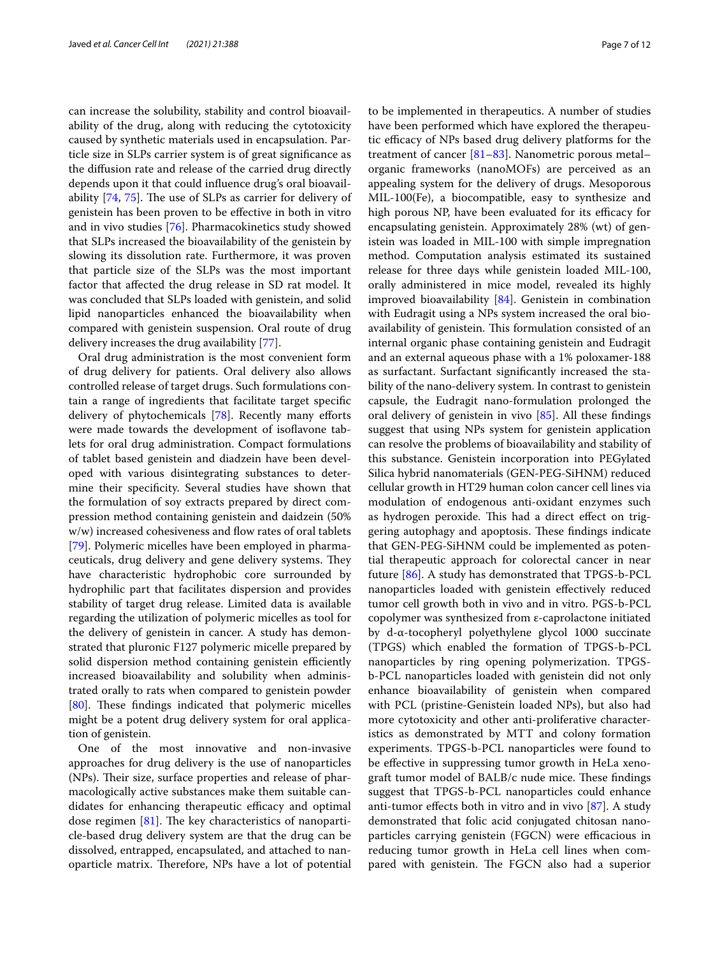can increase the solubility, stability and control bioavailability of the drug, along with reducing the cytotoxicity caused by synthetic materials used in encapsulation. Particle size in SLPs carrier system is of great signifcance as the difusion rate and release of the carried drug directly depends upon it that could infuence drug's oral bioavailability  $[74, 75]$  $[74, 75]$  $[74, 75]$  $[74, 75]$ . The use of SLPs as carrier for delivery of genistein has been proven to be efective in both in vitro and in vivo studies [\[76](#page-10-40)]. Pharmacokinetics study showed that SLPs increased the bioavailability of the genistein by slowing its dissolution rate. Furthermore, it was proven that particle size of the SLPs was the most important factor that afected the drug release in SD rat model. It was concluded that SLPs loaded with genistein, and solid lipid nanoparticles enhanced the bioavailability when compared with genistein suspension. Oral route of drug delivery increases the drug availability [\[77](#page-10-41)].

Oral drug administration is the most convenient form of drug delivery for patients. Oral delivery also allows controlled release of target drugs. Such formulations contain a range of ingredients that facilitate target specifc delivery of phytochemicals [[78\]](#page-10-42). Recently many eforts were made towards the development of isofavone tablets for oral drug administration. Compact formulations of tablet based genistein and diadzein have been developed with various disintegrating substances to determine their specifcity. Several studies have shown that the formulation of soy extracts prepared by direct compression method containing genistein and daidzein (50%  $w/w$ ) increased cohesiveness and flow rates of oral tablets [[79\]](#page-11-0). Polymeric micelles have been employed in pharmaceuticals, drug delivery and gene delivery systems. They have characteristic hydrophobic core surrounded by hydrophilic part that facilitates dispersion and provides stability of target drug release. Limited data is available regarding the utilization of polymeric micelles as tool for the delivery of genistein in cancer. A study has demonstrated that pluronic F127 polymeric micelle prepared by solid dispersion method containing genistein efficiently increased bioavailability and solubility when administrated orally to rats when compared to genistein powder [[80\]](#page-11-1). These findings indicated that polymeric micelles might be a potent drug delivery system for oral application of genistein.

One of the most innovative and non-invasive approaches for drug delivery is the use of nanoparticles (NPs). Their size, surface properties and release of pharmacologically active substances make them suitable candidates for enhancing therapeutic efficacy and optimal dose regimen  $[81]$  $[81]$ . The key characteristics of nanoparticle-based drug delivery system are that the drug can be dissolved, entrapped, encapsulated, and attached to nanoparticle matrix. Therefore, NPs have a lot of potential to be implemented in therapeutics. A number of studies have been performed which have explored the therapeutic efficacy of NPs based drug delivery platforms for the treatment of cancer [\[81–](#page-11-2)[83\]](#page-11-3). Nanometric porous metal– organic frameworks (nanoMOFs) are perceived as an appealing system for the delivery of drugs. Mesoporous MIL-100(Fe), a biocompatible, easy to synthesize and high porous NP, have been evaluated for its efficacy for encapsulating genistein. Approximately 28% (wt) of genistein was loaded in MIL-100 with simple impregnation method. Computation analysis estimated its sustained release for three days while genistein loaded MIL-100, orally administered in mice model, revealed its highly improved bioavailability [[84\]](#page-11-4). Genistein in combination with Eudragit using a NPs system increased the oral bioavailability of genistein. This formulation consisted of an internal organic phase containing genistein and Eudragit and an external aqueous phase with a 1% poloxamer-188 as surfactant. Surfactant signifcantly increased the stability of the nano-delivery system. In contrast to genistein capsule, the Eudragit nano-formulation prolonged the oral delivery of genistein in vivo [[85\]](#page-11-5). All these fndings suggest that using NPs system for genistein application can resolve the problems of bioavailability and stability of this substance. Genistein incorporation into PEGylated Silica hybrid nanomaterials (GEN-PEG-SiHNM) reduced cellular growth in HT29 human colon cancer cell lines via modulation of endogenous anti-oxidant enzymes such as hydrogen peroxide. This had a direct effect on triggering autophagy and apoptosis. These findings indicate that GEN-PEG-SiHNM could be implemented as potential therapeutic approach for colorectal cancer in near future [[86\]](#page-11-6). A study has demonstrated that TPGS-b-PCL nanoparticles loaded with genistein efectively reduced tumor cell growth both in vivo and in vitro. PGS-b-PCL copolymer was synthesized from ε-caprolactone initiated by d-α-tocopheryl polyethylene glycol 1000 succinate (TPGS) which enabled the formation of TPGS-b-PCL nanoparticles by ring opening polymerization. TPGSb-PCL nanoparticles loaded with genistein did not only enhance bioavailability of genistein when compared with PCL (pristine-Genistein loaded NPs), but also had more cytotoxicity and other anti-proliferative characteristics as demonstrated by MTT and colony formation experiments. TPGS-b-PCL nanoparticles were found to be efective in suppressing tumor growth in HeLa xenograft tumor model of BALB/c nude mice. These findings suggest that TPGS-b-PCL nanoparticles could enhance anti-tumor effects both in vitro and in vivo  $[87]$  $[87]$  $[87]$ . A study demonstrated that folic acid conjugated chitosan nanoparticles carrying genistein (FGCN) were efficacious in reducing tumor growth in HeLa cell lines when compared with genistein. The FGCN also had a superior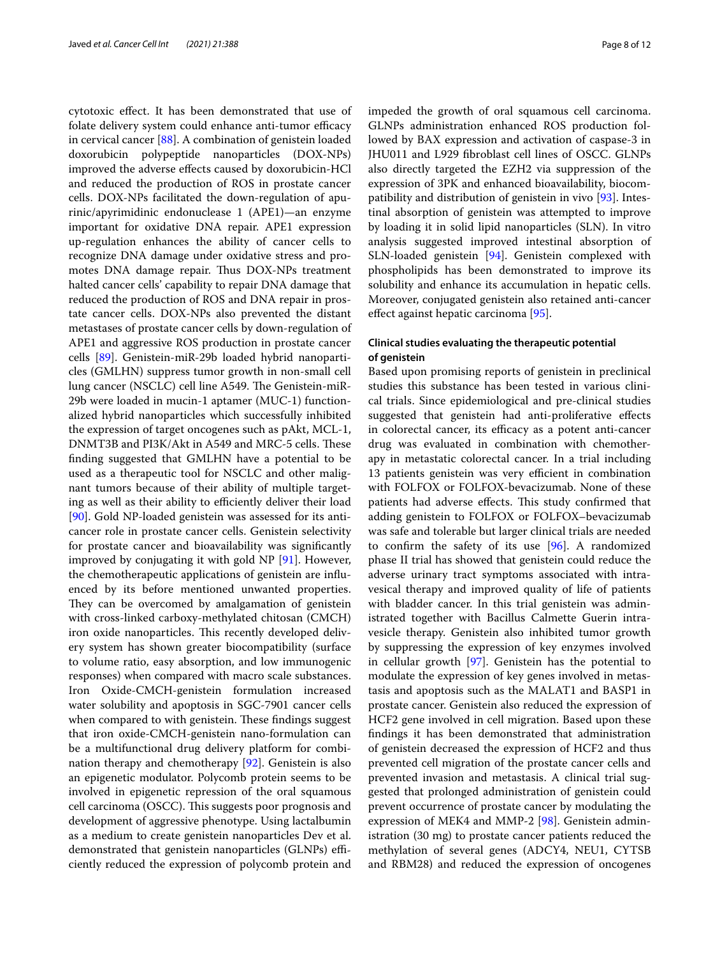cytotoxic efect. It has been demonstrated that use of folate delivery system could enhance anti-tumor efficacy in cervical cancer [\[88](#page-11-8)]. A combination of genistein loaded doxorubicin polypeptide nanoparticles (DOX-NPs) improved the adverse efects caused by doxorubicin-HCl and reduced the production of ROS in prostate cancer cells. DOX-NPs facilitated the down-regulation of apurinic/apyrimidinic endonuclease 1 (APE1)—an enzyme important for oxidative DNA repair. APE1 expression up-regulation enhances the ability of cancer cells to recognize DNA damage under oxidative stress and promotes DNA damage repair. Thus DOX-NPs treatment halted cancer cells' capability to repair DNA damage that reduced the production of ROS and DNA repair in prostate cancer cells. DOX-NPs also prevented the distant metastases of prostate cancer cells by down-regulation of APE1 and aggressive ROS production in prostate cancer cells [[89\]](#page-11-9). Genistein-miR-29b loaded hybrid nanoparticles (GMLHN) suppress tumor growth in non-small cell lung cancer (NSCLC) cell line A549. The Genistein-miR-29b were loaded in mucin-1 aptamer (MUC-1) functionalized hybrid nanoparticles which successfully inhibited the expression of target oncogenes such as pAkt, MCL-1, DNMT3B and PI3K/Akt in A549 and MRC-5 cells. These fnding suggested that GMLHN have a potential to be used as a therapeutic tool for NSCLC and other malignant tumors because of their ability of multiple targeting as well as their ability to efficiently deliver their load [[90\]](#page-11-10). Gold NP-loaded genistein was assessed for its anticancer role in prostate cancer cells. Genistein selectivity for prostate cancer and bioavailability was signifcantly improved by conjugating it with gold NP [[91](#page-11-11)]. However, the chemotherapeutic applications of genistein are infuenced by its before mentioned unwanted properties. They can be overcomed by amalgamation of genistein with cross-linked carboxy-methylated chitosan (CMCH) iron oxide nanoparticles. This recently developed delivery system has shown greater biocompatibility (surface to volume ratio, easy absorption, and low immunogenic responses) when compared with macro scale substances. Iron Oxide-CMCH-genistein formulation increased water solubility and apoptosis in SGC-7901 cancer cells when compared to with genistein. These findings suggest that iron oxide-CMCH-genistein nano-formulation can be a multifunctional drug delivery platform for combination therapy and chemotherapy [[92](#page-11-12)]. Genistein is also an epigenetic modulator. Polycomb protein seems to be involved in epigenetic repression of the oral squamous cell carcinoma (OSCC). This suggests poor prognosis and development of aggressive phenotype. Using lactalbumin as a medium to create genistein nanoparticles Dev et al. demonstrated that genistein nanoparticles (GLNPs) efficiently reduced the expression of polycomb protein and impeded the growth of oral squamous cell carcinoma. GLNPs administration enhanced ROS production followed by BAX expression and activation of caspase-3 in JHU011 and L929 fbroblast cell lines of OSCC. GLNPs also directly targeted the EZH2 via suppression of the expression of 3PK and enhanced bioavailability, biocompatibility and distribution of genistein in vivo [[93\]](#page-11-13). Intestinal absorption of genistein was attempted to improve by loading it in solid lipid nanoparticles (SLN). In vitro analysis suggested improved intestinal absorption of SLN-loaded genistein [[94](#page-11-14)]. Genistein complexed with phospholipids has been demonstrated to improve its solubility and enhance its accumulation in hepatic cells. Moreover, conjugated genistein also retained anti-cancer efect against hepatic carcinoma [\[95](#page-11-15)].

## **Clinical studies evaluating the therapeutic potential of genistein**

Based upon promising reports of genistein in preclinical studies this substance has been tested in various clinical trials. Since epidemiological and pre-clinical studies suggested that genistein had anti-proliferative efects in colorectal cancer, its efficacy as a potent anti-cancer drug was evaluated in combination with chemotherapy in metastatic colorectal cancer. In a trial including 13 patients genistein was very efficient in combination with FOLFOX or FOLFOX-bevacizumab. None of these patients had adverse effects. This study confirmed that adding genistein to FOLFOX or FOLFOX–bevacizumab was safe and tolerable but larger clinical trials are needed to confrm the safety of its use [[96\]](#page-11-16). A randomized phase II trial has showed that genistein could reduce the adverse urinary tract symptoms associated with intravesical therapy and improved quality of life of patients with bladder cancer. In this trial genistein was administrated together with Bacillus Calmette Guerin intravesicle therapy. Genistein also inhibited tumor growth by suppressing the expression of key enzymes involved in cellular growth [\[97\]](#page-11-17). Genistein has the potential to modulate the expression of key genes involved in metastasis and apoptosis such as the MALAT1 and BASP1 in prostate cancer. Genistein also reduced the expression of HCF2 gene involved in cell migration. Based upon these fndings it has been demonstrated that administration of genistein decreased the expression of HCF2 and thus prevented cell migration of the prostate cancer cells and prevented invasion and metastasis. A clinical trial suggested that prolonged administration of genistein could prevent occurrence of prostate cancer by modulating the expression of MEK4 and MMP-2 [\[98\]](#page-11-18). Genistein administration (30 mg) to prostate cancer patients reduced the methylation of several genes (ADCY4, NEU1, CYTSB and RBM28) and reduced the expression of oncogenes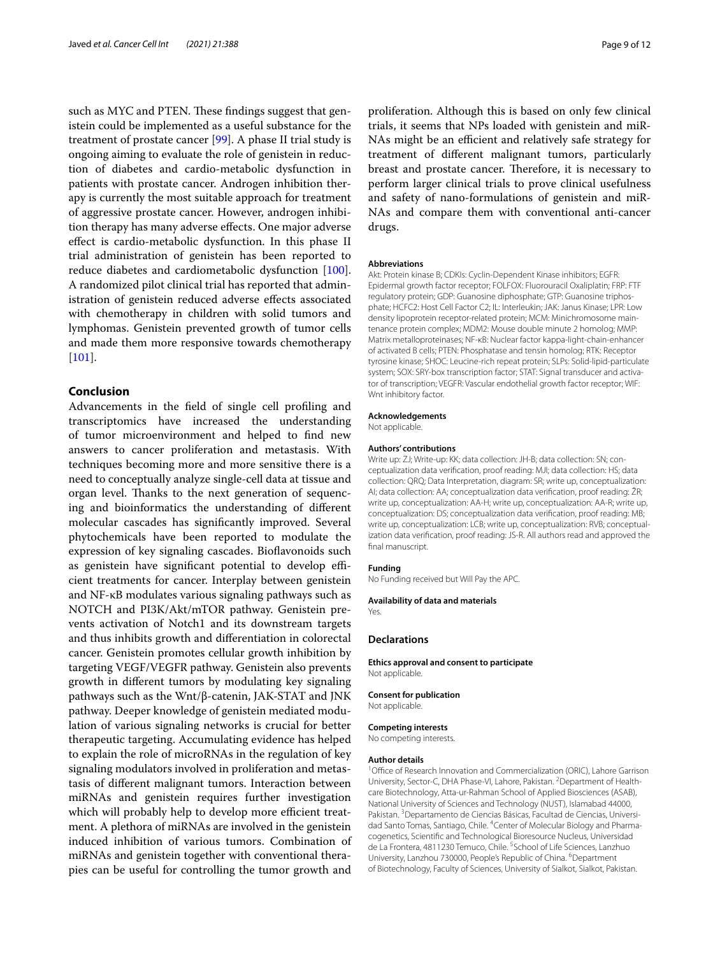such as MYC and PTEN. These findings suggest that genistein could be implemented as a useful substance for the treatment of prostate cancer [\[99](#page-11-19)]. A phase II trial study is ongoing aiming to evaluate the role of genistein in reduction of diabetes and cardio-metabolic dysfunction in patients with prostate cancer. Androgen inhibition therapy is currently the most suitable approach for treatment of aggressive prostate cancer. However, androgen inhibition therapy has many adverse efects. One major adverse efect is cardio-metabolic dysfunction. In this phase II trial administration of genistein has been reported to reduce diabetes and cardiometabolic dysfunction [\[100](#page-11-20)]. A randomized pilot clinical trial has reported that administration of genistein reduced adverse efects associated with chemotherapy in children with solid tumors and lymphomas. Genistein prevented growth of tumor cells and made them more responsive towards chemotherapy [[101\]](#page-11-21).

## **Conclusion**

Advancements in the feld of single cell profling and transcriptomics have increased the understanding of tumor microenvironment and helped to fnd new answers to cancer proliferation and metastasis. With techniques becoming more and more sensitive there is a need to conceptually analyze single-cell data at tissue and organ level. Thanks to the next generation of sequencing and bioinformatics the understanding of diferent molecular cascades has signifcantly improved. Several phytochemicals have been reported to modulate the expression of key signaling cascades. Biofavonoids such as genistein have significant potential to develop efficient treatments for cancer. Interplay between genistein and NF-κB modulates various signaling pathways such as NOTCH and PI3K/Akt/mTOR pathway. Genistein prevents activation of Notch1 and its downstream targets and thus inhibits growth and diferentiation in colorectal cancer. Genistein promotes cellular growth inhibition by targeting VEGF/VEGFR pathway. Genistein also prevents growth in diferent tumors by modulating key signaling pathways such as the Wnt/β-catenin, JAK-STAT and JNK pathway. Deeper knowledge of genistein mediated modulation of various signaling networks is crucial for better therapeutic targeting. Accumulating evidence has helped to explain the role of microRNAs in the regulation of key signaling modulators involved in proliferation and metastasis of diferent malignant tumors. Interaction between miRNAs and genistein requires further investigation which will probably help to develop more efficient treatment. A plethora of miRNAs are involved in the genistein induced inhibition of various tumors. Combination of miRNAs and genistein together with conventional therapies can be useful for controlling the tumor growth and proliferation. Although this is based on only few clinical trials, it seems that NPs loaded with genistein and miR-NAs might be an efficient and relatively safe strategy for treatment of diferent malignant tumors, particularly breast and prostate cancer. Therefore, it is necessary to perform larger clinical trials to prove clinical usefulness and safety of nano-formulations of genistein and miR-NAs and compare them with conventional anti-cancer drugs.

#### **Abbreviations**

Akt: Protein kinase B; CDKIs: Cyclin-Dependent Kinase inhibitors; EGFR: Epidermal growth factor receptor; FOLFOX: Fluorouracil Oxaliplatin; FRP: FTF regulatory protein; GDP: Guanosine diphosphate; GTP: Guanosine triphosphate; HCFC2: Host Cell Factor C2; IL: Interleukin; JAK: Janus Kinase; LPR: Low density lipoprotein receptor-related protein; MCM: Minichromosome maintenance protein complex; MDM2: Mouse double minute 2 homolog; MMP: Matrix metalloproteinases; NF-κB: Nuclear factor kappa-light-chain-enhancer of activated B cells; PTEN: Phosphatase and tensin homolog; RTK: Receptor tyrosine kinase; SHOC: Leucine-rich repeat protein; SLPs: Solid-lipid-particulate system; SOX: SRY-box transcription factor; STAT: Signal transducer and activator of transcription; VEGFR: Vascular endothelial growth factor receptor; WIF: Wnt inhibitory factor.

#### **Acknowledgements**

Not applicable.

#### **Authors' contributions**

Write up: ZJ; Write-up: KK; data collection: JH-B; data collection: SN; conceptualization data verifcation, proof reading: MJI; data collection: HS; data collection: QRQ; Data Interpretation, diagram: SR; write up, conceptualization: AI; data collection: AA; conceptualization data verifcation, proof reading: ŽR; write up, conceptualization: AA-H; write up, conceptualization: AA-R; write up, conceptualization: DS; conceptualization data verifcation, proof reading: MB; write up, conceptualization: LCB; write up, conceptualization: RVB; conceptualization data verifcation, proof reading: JS-R. All authors read and approved the final manuscript.

#### **Funding**

No Funding received but Will Pay the APC.

#### **Availability of data and materials**

Yes.

### **Declarations**

**Ethics approval and consent to participate** Not applicable.

#### **Consent for publication**

Not applicable.

#### **Competing interests**

No competing interests.

#### **Author details**

<sup>1</sup> Office of Research Innovation and Commercialization (ORIC), Lahore Garrison University, Sector-C, DHA Phase-VI, Lahore, Pakistan. <sup>2</sup> Department of Healthcare Biotechnology, Atta-ur-Rahman School of Applied Biosciences (ASAB), National University of Sciences and Technology (NUST), Islamabad 44000, Pakistan.<sup>3</sup> Departamento de Ciencias Básicas, Facultad de Ciencias, Universidad Santo Tomas, Santiago, Chile. <sup>4</sup> Center of Molecular Biology and Pharmacogenetics, Scientifc and Technological Bioresource Nucleus, Universidad de La Frontera, 4811230 Temuco, Chile. <sup>5</sup> School of Life Sciences, Lanzhuo University, Lanzhou 730000, People's Republic of China. <sup>6</sup>Department of Biotechnology, Faculty of Sciences, University of Sialkot, Sialkot, Pakistan.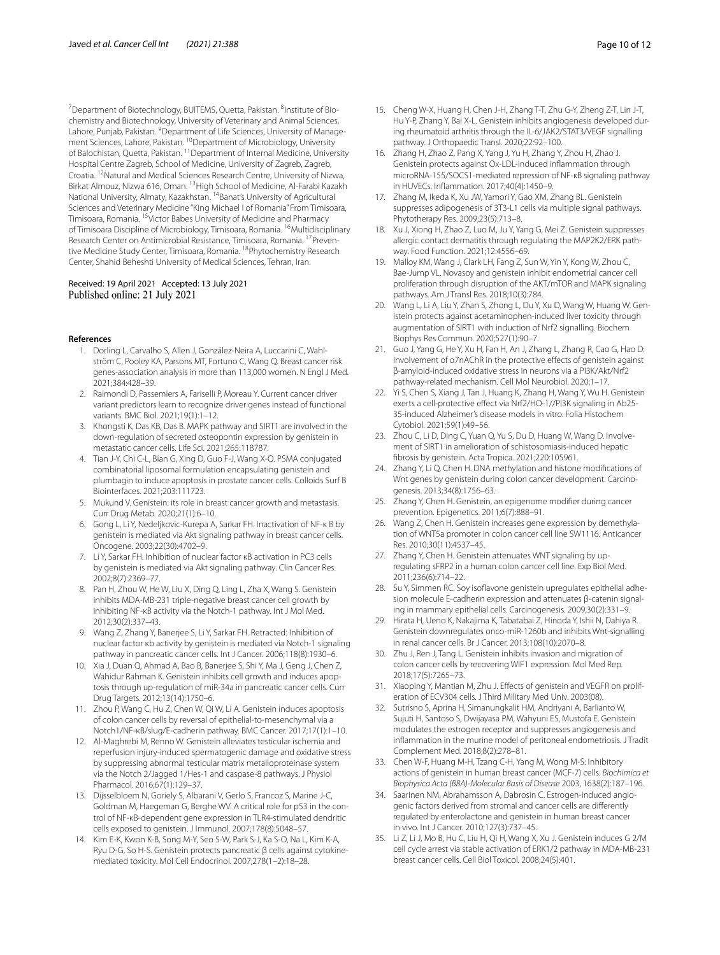<sup>7</sup> Department of Biotechnology, BUITEMS, Quetta, Pakistan. <sup>8</sup>Institute of Biochemistry and Biotechnology, University of Veterinary and Animal Sciences, Lahore, Punjab, Pakistan. <sup>9</sup>Department of Life Sciences, University of Management Sciences, Lahore, Pakistan. <sup>10</sup>Department of Microbiology, University of Balochistan, Quetta, Pakistan. 11Department of Internal Medicine, University Hospital Centre Zagreb, School of Medicine, University of Zagreb, Zagreb, Croatia. 12Natural and Medical Sciences Research Centre, University of Nizwa, Birkat Almouz, Nizwa 616, Oman. 13High School of Medicine, Al-Farabi Kazakh National University, Almaty, Kazakhstan. 14Banat's University of Agricultural Sciences and Veterinary Medicine "King Michael I of Romania" From Timisoara, Timisoara, Romania. 15Victor Babes University of Medicine and Pharmacy of Timisoara Discipline of Microbiology, Timisoara, Romania. <sup>16</sup>Multidisciplinary Research Center on Antimicrobial Resistance, Timisoara, Romania. <sup>17</sup> Preventive Medicine Study Center, Timisoara, Romania. <sup>18</sup>Phytochemistry Research Center, Shahid Beheshti University of Medical Sciences, Tehran, Iran.

## Received: 19 April 2021 Accepted: 13 July 2021 Published online: 21 July 2021

#### <span id="page-9-0"></span>**References**

- 1. Dorling L, Carvalho S, Allen J, González-Neira A, Luccarini C, Wahlström C, Pooley KA, Parsons MT, Fortuno C, Wang Q. Breast cancer risk genes-association analysis in more than 113,000 women. N Engl J Med. 2021;384:428–39.
- <span id="page-9-1"></span>2. Raimondi D, Passemiers A, Fariselli P, Moreau Y. Current cancer driver variant predictors learn to recognize driver genes instead of functional variants. BMC Biol. 2021;19(1):1–12.
- <span id="page-9-2"></span>3. Khongsti K, Das KB, Das B. MAPK pathway and SIRT1 are involved in the down-regulation of secreted osteopontin expression by genistein in metastatic cancer cells. Life Sci. 2021;265:118787.
- <span id="page-9-3"></span>4. Tian J-Y, Chi C-L, Bian G, Xing D, Guo F-J, Wang X-Q. PSMA conjugated combinatorial liposomal formulation encapsulating genistein and plumbagin to induce apoptosis in prostate cancer cells. Colloids Surf B Biointerfaces. 2021;203:111723.
- <span id="page-9-4"></span>5. Mukund V. Genistein: its role in breast cancer growth and metastasis. Curr Drug Metab. 2020;21(1):6–10.
- <span id="page-9-6"></span>6. Gong L, Li Y, Nedeljkovic-Kurepa A, Sarkar FH. Inactivation of NF-κ B by genistein is mediated via Akt signaling pathway in breast cancer cells. Oncogene. 2003;22(30):4702–9.
- <span id="page-9-5"></span>7. Li Y, Sarkar FH. Inhibition of nuclear factor κB activation in PC3 cells by genistein is mediated via Akt signaling pathway. Clin Cancer Res. 2002;8(7):2369–77.
- <span id="page-9-7"></span>8. Pan H, Zhou W, He W, Liu X, Ding Q, Ling L, Zha X, Wang S. Genistein inhibits MDA-MB-231 triple-negative breast cancer cell growth by inhibiting NF-κB activity via the Notch-1 pathway. Int J Mol Med. 2012;30(2):337–43.
- <span id="page-9-8"></span>9. Wang Z, Zhang Y, Banerjee S, Li Y, Sarkar FH. Retracted: Inhibition of nuclear factor κb activity by genistein is mediated via Notch-1 signaling pathway in pancreatic cancer cells. Int J Cancer. 2006;118(8):1930–6.
- <span id="page-9-9"></span>10. Xia J, Duan Q, Ahmad A, Bao B, Banerjee S, Shi Y, Ma J, Geng J, Chen Z, Wahidur Rahman K. Genistein inhibits cell growth and induces apoptosis through up-regulation of miR-34a in pancreatic cancer cells. Curr Drug Targets. 2012;13(14):1750–6.
- <span id="page-9-10"></span>11. Zhou P, Wang C, Hu Z, Chen W, Qi W, Li A. Genistein induces apoptosis of colon cancer cells by reversal of epithelial-to-mesenchymal via a Notch1/NF-κB/slug/E-cadherin pathway. BMC Cancer. 2017;17(1):1–10.
- <span id="page-9-11"></span>12. Al-Maghrebi M, Renno W. Genistein alleviates testicular ischemia and reperfusion injury-induced spermatogenic damage and oxidative stress by suppressing abnormal testicular matrix metalloproteinase system via the Notch 2/Jagged 1/Hes-1 and caspase-8 pathways. J Physiol Pharmacol. 2016;67(1):129–37.
- <span id="page-9-12"></span>13. Dijsselbloem N, Goriely S, Albarani V, Gerlo S, Francoz S, Marine J-C, Goldman M, Haegeman G, Berghe WV. A critical role for p53 in the control of NF-κB-dependent gene expression in TLR4-stimulated dendritic cells exposed to genistein. J Immunol. 2007;178(8):5048–57.
- <span id="page-9-13"></span>14. Kim E-K, Kwon K-B, Song M-Y, Seo S-W, Park S-J, Ka S-O, Na L, Kim K-A, Ryu D-G, So H-S. Genistein protects pancreatic β cells against cytokinemediated toxicity. Mol Cell Endocrinol. 2007;278(1–2):18–28.
- <span id="page-9-14"></span>15. Cheng W-X, Huang H, Chen J-H, Zhang T-T, Zhu G-Y, Zheng Z-T, Lin J-T, Hu Y-P, Zhang Y, Bai X-L. Genistein inhibits angiogenesis developed dur‑ ing rheumatoid arthritis through the IL-6/JAK2/STAT3/VEGF signalling pathway. J Orthopaedic Transl. 2020;22:92–100.
- <span id="page-9-15"></span>16. Zhang H, Zhao Z, Pang X, Yang J, Yu H, Zhang Y, Zhou H, Zhao J. Genistein protects against Ox-LDL-induced infammation through microRNA-155/SOCS1-mediated repression of NF-ĸB signaling pathway in HUVECs. Infammation. 2017;40(4):1450–9.
- <span id="page-9-16"></span>17. Zhang M, Ikeda K, Xu JW, Yamori Y, Gao XM, Zhang BL. Genistein suppresses adipogenesis of 3T3-L1 cells via multiple signal pathways. Phytotherapy Res. 2009;23(5):713–8.
- <span id="page-9-17"></span>18. Xu J, Xiong H, Zhao Z, Luo M, Ju Y, Yang G, Mei Z. Genistein suppresses allergic contact dermatitis through regulating the MAP2K2/ERK pathway. Food Function. 2021;12:4556–69.
- <span id="page-9-18"></span>19. Malloy KM, Wang J, Clark LH, Fang Z, Sun W, Yin Y, Kong W, Zhou C, Bae-Jump VL. Novasoy and genistein inhibit endometrial cancer cell proliferation through disruption of the AKT/mTOR and MAPK signaling pathways. Am J Transl Res. 2018;10(3):784.
- <span id="page-9-19"></span>20. Wang L, Li A, Liu Y, Zhan S, Zhong L, Du Y, Xu D, Wang W, Huang W. Genistein protects against acetaminophen-induced liver toxicity through augmentation of SIRT1 with induction of Nrf2 signalling. Biochem Biophys Res Commun. 2020;527(1):90–7.
- <span id="page-9-20"></span>21. Guo J, Yang G, He Y, Xu H, Fan H, An J, Zhang L, Zhang R, Cao G, Hao D: Involvement of α7nAChR in the protective efects of genistein against β-amyloid-induced oxidative stress in neurons via a PI3K/Akt/Nrf2 pathway-related mechanism. Cell Mol Neurobiol. 2020;1–17.
- <span id="page-9-21"></span>22. Yi S, Chen S, Xiang J, Tan J, Huang K, Zhang H, Wang Y, Wu H. Genistein exerts a cell-protective effect via Nrf2/HO-1//PI3K signaling in Ab25-35-induced Alzheimer's disease models in vitro. Folia Histochem Cytobiol. 2021;59(1):49–56.
- <span id="page-9-22"></span>23. Zhou C, Li D, Ding C, Yuan Q, Yu S, Du D, Huang W, Wang D. Involvement of SIRT1 in amelioration of schistosomiasis-induced hepatic fbrosis by genistein. Acta Tropica. 2021;220:105961.
- <span id="page-9-23"></span>24. Zhang Y, Li Q, Chen H, DNA methylation and histone modifications of Wnt genes by genistein during colon cancer development. Carcinogenesis. 2013;34(8):1756–63.
- <span id="page-9-24"></span>25. Zhang Y, Chen H. Genistein, an epigenome modifer during cancer prevention. Epigenetics. 2011;6(7):888–91.
- <span id="page-9-25"></span>26. Wang Z, Chen H. Genistein increases gene expression by demethylation of WNT5a promoter in colon cancer cell line SW1116. Anticancer Res. 2010;30(11):4537–45.
- <span id="page-9-26"></span>27. Zhang Y, Chen H. Genistein attenuates WNT signaling by upregulating sFRP2 in a human colon cancer cell line. Exp Biol Med. 2011;236(6):714–22.
- <span id="page-9-27"></span>28. Su Y, Simmen RC. Soy isoflavone genistein upregulates epithelial adhesion molecule E-cadherin expression and attenuates β-catenin signaling in mammary epithelial cells. Carcinogenesis. 2009;30(2):331–9.
- <span id="page-9-28"></span>29. Hirata H, Ueno K, Nakajima K, Tabatabai Z, Hinoda Y, Ishii N, Dahiya R. Genistein downregulates onco-miR-1260b and inhibits Wnt-signalling in renal cancer cells. Br J Cancer. 2013;108(10):2070–8.
- <span id="page-9-29"></span>30. Zhu J, Ren J, Tang L. Genistein inhibits invasion and migration of colon cancer cells by recovering WIF1 expression. Mol Med Rep. 2018;17(5):7265–73.
- <span id="page-9-30"></span>31. Xiaoping Y, Mantian M, Zhu J. Effects of genistein and VEGFR on proliferation of ECV304 cells. J Third Military Med Univ. 2003(08).
- <span id="page-9-31"></span>32. Sutrisno S, Aprina H, Simanungkalit HM, Andriyani A, Barlianto W, Sujuti H, Santoso S, Dwijayasa PM, Wahyuni ES, Mustofa E. Genistein modulates the estrogen receptor and suppresses angiogenesis and infammation in the murine model of peritoneal endometriosis. J Tradit Complement Med. 2018;8(2):278–81.
- <span id="page-9-32"></span>33. Chen W-F, Huang M-H, Tzang C-H, Yang M, Wong M-S: Inhibitory actions of genistein in human breast cancer (MCF-7) cells. *Biochimica et Biophysica Acta (BBA)-Molecular Basis of Disease* 2003, 1638(2):187–196.
- <span id="page-9-33"></span>34. Saarinen NM, Abrahamsson A, Dabrosin C. Estrogen-induced angiogenic factors derived from stromal and cancer cells are diferently regulated by enterolactone and genistein in human breast cancer in vivo. Int J Cancer. 2010;127(3):737–45.
- <span id="page-9-34"></span>35. Li Z, Li J, Mo B, Hu C, Liu H, Qi H, Wang X, Xu J. Genistein induces G 2/M cell cycle arrest via stable activation of ERK1/2 pathway in MDA-MB-231 breast cancer cells. Cell Biol Toxicol. 2008;24(5):401.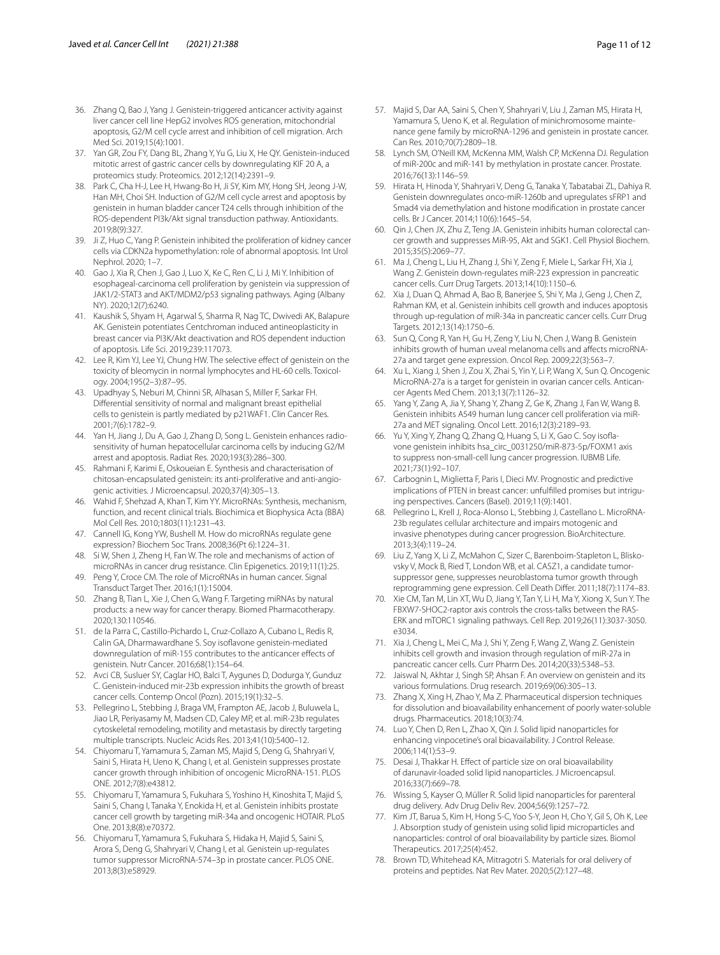- <span id="page-10-0"></span>36. Zhang Q, Bao J, Yang J. Genistein-triggered anticancer activity against liver cancer cell line HepG2 involves ROS generation, mitochondrial apoptosis, G2/M cell cycle arrest and inhibition of cell migration. Arch Med Sci. 2019;15(4):1001.
- <span id="page-10-1"></span>37. Yan GR, Zou FY, Dang BL, Zhang Y, Yu G, Liu X, He QY. Genistein-induced mitotic arrest of gastric cancer cells by downregulating KIF 20 A, a proteomics study. Proteomics. 2012;12(14):2391–9.
- <span id="page-10-2"></span>38. Park C, Cha H-J, Lee H, Hwang-Bo H, Ji SY, Kim MY, Hong SH, Jeong J-W, Han MH, Choi SH. Induction of G2/M cell cycle arrest and apoptosis by genistein in human bladder cancer T24 cells through inhibition of the ROS-dependent PI3k/Akt signal transduction pathway. Antioxidants. 2019;8(9):327.
- <span id="page-10-3"></span>39. Ji Z, Huo C, Yang P. Genistein inhibited the proliferation of kidney cancer cells via CDKN2a hypomethylation: role of abnormal apoptosis. Int Urol Nephrol. 2020; 1–7.
- <span id="page-10-4"></span>40. Gao J, Xia R, Chen J, Gao J, Luo X, Ke C, Ren C, Li J, Mi Y. Inhibition of esophageal-carcinoma cell proliferation by genistein via suppression of JAK1/2-STAT3 and AKT/MDM2/p53 signaling pathways. Aging (Albany NY). 2020;12(7):6240.
- <span id="page-10-5"></span>41. Kaushik S, Shyam H, Agarwal S, Sharma R, Nag TC, Dwivedi AK, Balapure AK. Genistein potentiates Centchroman induced antineoplasticity in breast cancer via PI3K/Akt deactivation and ROS dependent induction of apoptosis. Life Sci. 2019;239:117073.
- <span id="page-10-6"></span>42. Lee R, Kim YJ, Lee YJ, Chung HW. The selective efect of genistein on the toxicity of bleomycin in normal lymphocytes and HL-60 cells. Toxicology. 2004;195(2–3):87–95.
- <span id="page-10-7"></span>43. Upadhyay S, Neburi M, Chinni SR, Alhasan S, Miller F, Sarkar FH. Diferential sensitivity of normal and malignant breast epithelial cells to genistein is partly mediated by p21WAF1. Clin Cancer Res. 2001;7(6):1782–9.
- <span id="page-10-8"></span>44. Yan H, Jiang J, Du A, Gao J, Zhang D, Song L. Genistein enhances radiosensitivity of human hepatocellular carcinoma cells by inducing G2/M arrest and apoptosis. Radiat Res. 2020;193(3):286–300.
- <span id="page-10-9"></span>45. Rahmani F, Karimi E, Oskoueian E. Synthesis and characterisation of chitosan-encapsulated genistein: its anti-proliferative and anti-angiogenic activities. J Microencapsul. 2020;37(4):305–13.
- <span id="page-10-10"></span>Wahid F, Shehzad A, Khan T, Kim YY. MicroRNAs: Synthesis, mechanism, function, and recent clinical trials. Biochimica et Biophysica Acta (BBA) Mol Cell Res. 2010;1803(11):1231–43.
- <span id="page-10-11"></span>47. Cannell IG, Kong YW, Bushell M. How do microRNAs regulate gene expression? Biochem Soc Trans. 2008;36(Pt 6):1224–31.
- <span id="page-10-12"></span>48. Si W, Shen J, Zheng H, Fan W. The role and mechanisms of action of microRNAs in cancer drug resistance. Clin Epigenetics. 2019;11(1):25.
- <span id="page-10-13"></span>49. Peng Y, Croce CM. The role of MicroRNAs in human cancer. Signal Transduct Target Ther. 2016;1(1):15004.
- <span id="page-10-14"></span>50. Zhang B, Tian L, Xie J, Chen G, Wang F. Targeting miRNAs by natural products: a new way for cancer therapy. Biomed Pharmacotherapy. 2020;130:110546.
- <span id="page-10-15"></span>51. de la Parra C, Castillo-Pichardo L, Cruz-Collazo A, Cubano L, Redis R, Calin GA, Dharmawardhane S. Soy isofavone genistein-mediated downregulation of miR-155 contributes to the anticancer efects of genistein. Nutr Cancer. 2016;68(1):154–64.
- <span id="page-10-17"></span>52. Avci CB, Susluer SY, Caglar HO, Balci T, Aygunes D, Dodurga Y, Gunduz C. Genistein-induced mir-23b expression inhibits the growth of breast cancer cells. Contemp Oncol (Pozn). 2015;19(1):32–5.
- <span id="page-10-19"></span>53. Pellegrino L, Stebbing J, Braga VM, Frampton AE, Jacob J, Buluwela L, Jiao LR, Periyasamy M, Madsen CD, Caley MP, et al. miR-23b regulates cytoskeletal remodeling, motility and metastasis by directly targeting multiple transcripts. Nucleic Acids Res. 2013;41(10):5400–12.
- <span id="page-10-20"></span>54. Chiyomaru T, Yamamura S, Zaman MS, Majid S, Deng G, Shahryari V, Saini S, Hirata H, Ueno K, Chang I, et al. Genistein suppresses prostate cancer growth through inhibition of oncogenic MicroRNA-151. PLOS ONE. 2012;7(8):e43812.
- <span id="page-10-21"></span>55. Chiyomaru T, Yamamura S, Fukuhara S, Yoshino H, Kinoshita T, Majid S, Saini S, Chang I, Tanaka Y, Enokida H, et al. Genistein inhibits prostate cancer cell growth by targeting miR-34a and oncogenic HOTAIR. PLoS One. 2013;8(8):e70372.
- <span id="page-10-22"></span>56. Chiyomaru T, Yamamura S, Fukuhara S, Hidaka H, Majid S, Saini S, Arora S, Deng G, Shahryari V, Chang I, et al. Genistein up-regulates tumor suppressor MicroRNA-574–3p in prostate cancer. PLOS ONE. 2013;8(3):e58929.
- <span id="page-10-23"></span>57. Majid S, Dar AA, Saini S, Chen Y, Shahryari V, Liu J, Zaman MS, Hirata H, Yamamura S, Ueno K, et al. Regulation of minichromosome maintenance gene family by microRNA-1296 and genistein in prostate cancer. Can Res. 2010;70(7):2809–18.
- <span id="page-10-24"></span>58. Lynch SM, O'Neill KM, McKenna MM, Walsh CP, McKenna DJ. Regulation of miR-200c and miR-141 by methylation in prostate cancer. Prostate. 2016;76(13):1146–59.
- <span id="page-10-25"></span>59. Hirata H, Hinoda Y, Shahryari V, Deng G, Tanaka Y, Tabatabai ZL, Dahiya R. Genistein downregulates onco-miR-1260b and upregulates sFRP1 and Smad4 via demethylation and histone modifcation in prostate cancer cells. Br J Cancer. 2014;110(6):1645–54.
- <span id="page-10-26"></span>60. Qin J, Chen JX, Zhu Z, Teng JA. Genistein inhibits human colorectal cancer growth and suppresses MiR-95, Akt and SGK1. Cell Physiol Biochem. 2015;35(5):2069–77.
- <span id="page-10-27"></span>61. Ma J, Cheng L, Liu H, Zhang J, Shi Y, Zeng F, Miele L, Sarkar FH, Xia J, Wang Z. Genistein down-regulates miR-223 expression in pancreatic cancer cells. Curr Drug Targets. 2013;14(10):1150–6.
- <span id="page-10-28"></span>62. Xia J, Duan Q, Ahmad A, Bao B, Banerjee S, Shi Y, Ma J, Geng J, Chen Z, Rahman KM, et al. Genistein inhibits cell growth and induces apoptosis through up-regulation of miR-34a in pancreatic cancer cells. Curr Drug Targets. 2012;13(14):1750–6.
- <span id="page-10-29"></span>63. Sun Q, Cong R, Yan H, Gu H, Zeng Y, Liu N, Chen J, Wang B. Genistein inhibits growth of human uveal melanoma cells and afects microRNA-27a and target gene expression. Oncol Rep. 2009;22(3):563–7.
- <span id="page-10-30"></span>64. Xu L, Xiang J, Shen J, Zou X, Zhai S, Yin Y, Li P, Wang X, Sun Q. Oncogenic MicroRNA-27a is a target for genistein in ovarian cancer cells. Anticancer Agents Med Chem. 2013;13(7):1126–32.
- <span id="page-10-31"></span>65. Yang Y, Zang A, Jia Y, Shang Y, Zhang Z, Ge K, Zhang J, Fan W, Wang B. Genistein inhibits A549 human lung cancer cell proliferation via miR-27a and MET signaling. Oncol Lett. 2016;12(3):2189–93.
- <span id="page-10-32"></span>66. Yu Y, Xing Y, Zhang Q, Zhang Q, Huang S, Li X, Gao C. Soy isoflavone genistein inhibits hsa\_circ\_0031250/miR-873-5p/FOXM1 axis to suppress non-small-cell lung cancer progression. IUBMB Life. 2021;73(1):92–107.
- <span id="page-10-16"></span>67. Carbognin L, Miglietta F, Paris I, Dieci MV. Prognostic and predictive implications of PTEN in breast cancer: unfulfilled promises but intriguing perspectives. Cancers (Basel). 2019;11(9):1401.
- <span id="page-10-18"></span>Pellegrino L, Krell J, Roca-Alonso L, Stebbing J, Castellano L. MicroRNA-23b regulates cellular architecture and impairs motogenic and invasive phenotypes during cancer progression. BioArchitecture. 2013;3(4):119–24.
- <span id="page-10-33"></span>69. Liu Z, Yang X, Li Z, McMahon C, Sizer C, Barenboim-Stapleton L, Bliskovsky V, Mock B, Ried T, London WB, et al. CASZ1, a candidate tumorsuppressor gene, suppresses neuroblastoma tumor growth through reprogramming gene expression. Cell Death Difer. 2011;18(7):1174–83.
- <span id="page-10-34"></span>70. Xie CM, Tan M, Lin XT, Wu D, Jiang Y, Tan Y, Li H, Ma Y, Xiong X, Sun Y. The FBXW7-SHOC2-raptor axis controls the cross-talks between the RAS-ERK and mTORC1 signaling pathways. Cell Rep. 2019;26(11):3037-3050.  $63034$
- <span id="page-10-35"></span>71. Xia J, Cheng L, Mei C, Ma J, Shi Y, Zeng F, Wang Z, Wang Z. Genistein inhibits cell growth and invasion through regulation of miR-27a in pancreatic cancer cells. Curr Pharm Des. 2014;20(33):5348–53.
- <span id="page-10-36"></span>72. Jaiswal N, Akhtar J, Singh SP, Ahsan F. An overview on genistein and its various formulations. Drug research. 2019;69(06):305–13.
- <span id="page-10-37"></span>73. Zhang X, Xing H, Zhao Y, Ma Z. Pharmaceutical dispersion techniques for dissolution and bioavailability enhancement of poorly water-soluble drugs. Pharmaceutics. 2018;10(3):74.
- <span id="page-10-38"></span>74. Luo Y, Chen D, Ren L, Zhao X, Qin J. Solid lipid nanoparticles for enhancing vinpocetine's oral bioavailability. J Control Release. 2006;114(1):53–9.
- <span id="page-10-39"></span>75. Desai J, Thakkar H. Efect of particle size on oral bioavailability of darunavir-loaded solid lipid nanoparticles. J Microencapsul. 2016;33(7):669–78.
- <span id="page-10-40"></span>76. Wissing S, Kayser O, Müller R. Solid lipid nanoparticles for parenteral drug delivery. Adv Drug Deliv Rev. 2004;56(9):1257–72.
- <span id="page-10-41"></span>77. Kim JT, Barua S, Kim H, Hong S-C, Yoo S-Y, Jeon H, Cho Y, Gil S, Oh K, Lee J. Absorption study of genistein using solid lipid microparticles and nanoparticles: control of oral bioavailability by particle sizes. Biomol Therapeutics. 2017;25(4):452.
- <span id="page-10-42"></span>78. Brown TD, Whitehead KA, Mitragotri S. Materials for oral delivery of proteins and peptides. Nat Rev Mater. 2020;5(2):127–48.